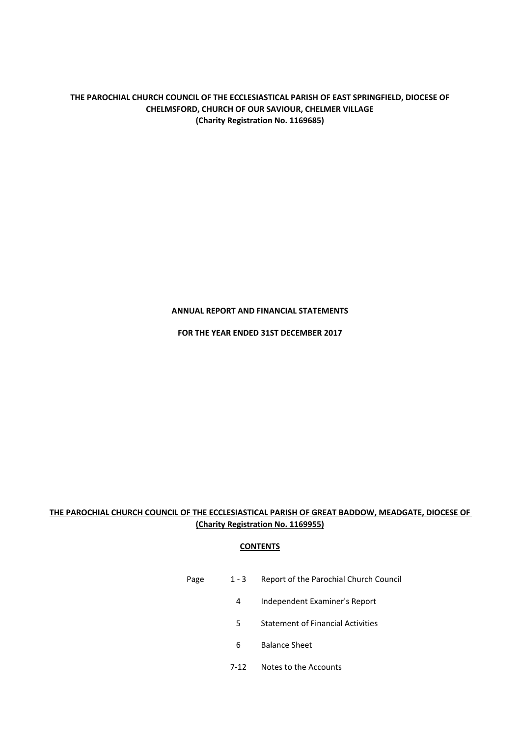# **ANNUAL REPORT AND FINANCIAL STATEMENTS**

**FOR THE YEAR ENDED 31ST DECEMBER 2017**

# **THE PAROCHIAL CHURCH COUNCIL OF THE ECCLESIASTICAL PARISH OF GREAT BADDOW, MEADGATE, DIOCESE OF (Charity Registration No. 1169955)**

# **CONTENTS**

- Page 1 3 Report of the Parochial Church Council
	- 4 Independent Examiner's Report
	- 5 Statement of Financial Activities
	- 6 Balance Sheet
	- 7‐12 Notes to the Accounts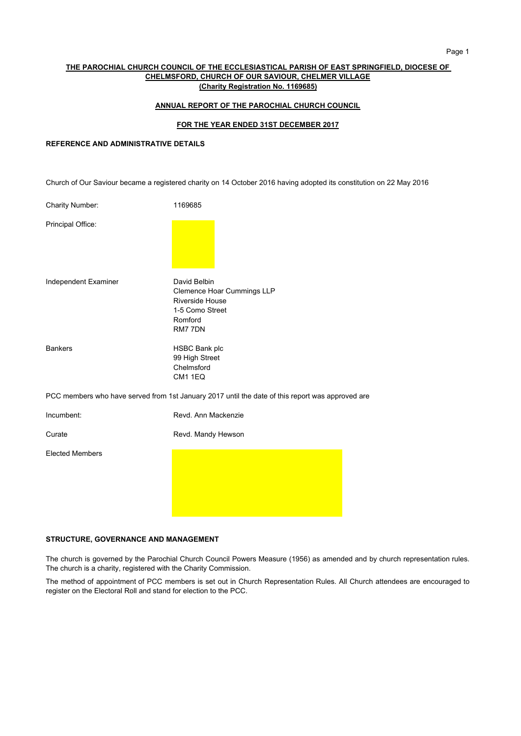### **ANNUAL REPORT OF THE PAROCHIAL CHURCH COUNCIL**

### **FOR THE YEAR ENDED 31ST DECEMBER 2017**

# **REFERENCE AND ADMINISTRATIVE DETAILS**

Church of Our Saviour became a registered charity on 14 October 2016 having adopted its constitution on 22 May 2016

| <b>Charity Number:</b> | 1169685                                                                                                              |
|------------------------|----------------------------------------------------------------------------------------------------------------------|
| Principal Office:      |                                                                                                                      |
| Independent Examiner   | David Belbin<br><b>Clemence Hoar Cummings LLP</b><br><b>Riverside House</b><br>1-5 Como Street<br>Romford<br>RM7 7DN |
| <b>Bankers</b>         | <b>HSBC Bank plc</b><br>99 High Street<br>Chelmsford<br>CM1 1EQ                                                      |
|                        | PCC members who have served from 1st January 2017 until the date of this report was approved are                     |
| Incumbent:             | Revd. Ann Mackenzie                                                                                                  |
| Curate                 | Revd. Mandy Hewson                                                                                                   |
| <b>Elected Members</b> |                                                                                                                      |

# **STRUCTURE, GOVERNANCE AND MANAGEMENT**

The church is governed by the Parochial Church Council Powers Measure (1956) as amended and by church representation rules. The church is a charity, registered with the Charity Commission.

The method of appointment of PCC members is set out in Church Representation Rules. All Church attendees are encouraged to register on the Electoral Roll and stand for election to the PCC.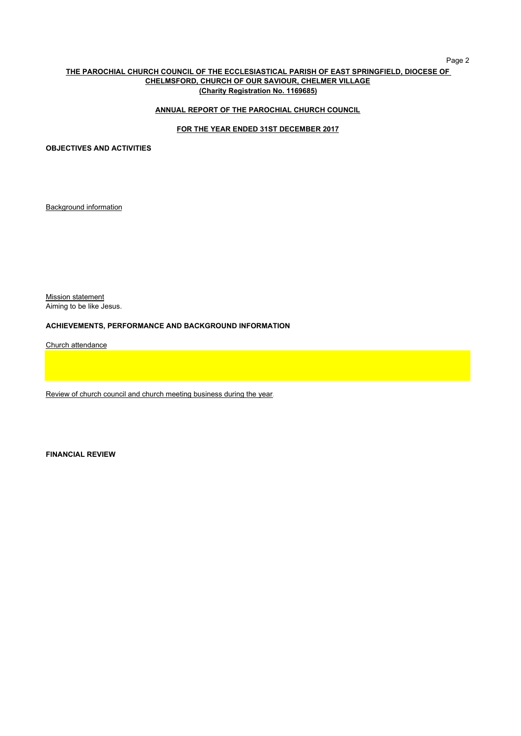### Page 2

# **THE PAROCHIAL CHURCH COUNCIL OF THE ECCLESIASTICAL PARISH OF EAST SPRINGFIELD, DIOCESE OF CHELMSFORD, CHURCH OF OUR SAVIOUR, CHELMER VILLAGE (Charity Registration No. 1169685)**

# **ANNUAL REPORT OF THE PAROCHIAL CHURCH COUNCIL**

# **FOR THE YEAR ENDED 31ST DECEMBER 2017**

**OBJECTIVES AND ACTIVITIES**

Background information

**Mission statement** Aiming to be like Jesus.

## **ACHIEVEMENTS, PERFORMANCE AND BACKGROUND INFORMATION**

Church attendance

Review of church council and church meeting business during the year.

**FINANCIAL REVIEW**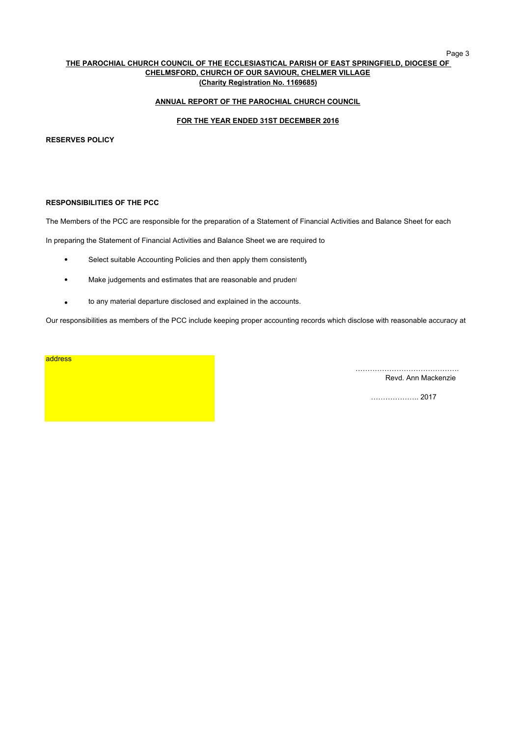### Page 3

### **THE PAROCHIAL CHURCH COUNCIL OF THE ECCLESIASTICAL PARISH OF EAST SPRINGFIELD, DIOCESE OF CHELMSFORD, CHURCH OF OUR SAVIOUR, CHELMER VILLAGE (Charity Registration No. 1169685)**

# **ANNUAL REPORT OF THE PAROCHIAL CHURCH COUNCIL**

## **FOR THE YEAR ENDED 31ST DECEMBER 2016**

### **RESERVES POLICY**

# **RESPONSIBILITIES OF THE PCC**

The Members of the PCC are responsible for the preparation of a Statement of Financial Activities and Balance Sheet for each

In preparing the Statement of Financial Activities and Balance Sheet we are required to

- $\bullet$ Select suitable Accounting Policies and then apply them consistently
- $\bullet$ Make judgements and estimates that are reasonable and prudent
- $\bullet$ to any material departure disclosed and explained in the accounts.

Our responsibilities as members of the PCC include keeping proper accounting records which disclose with reasonable accuracy at

# address

……………………………………. Revd. Ann Mackenzie

……………….. 2017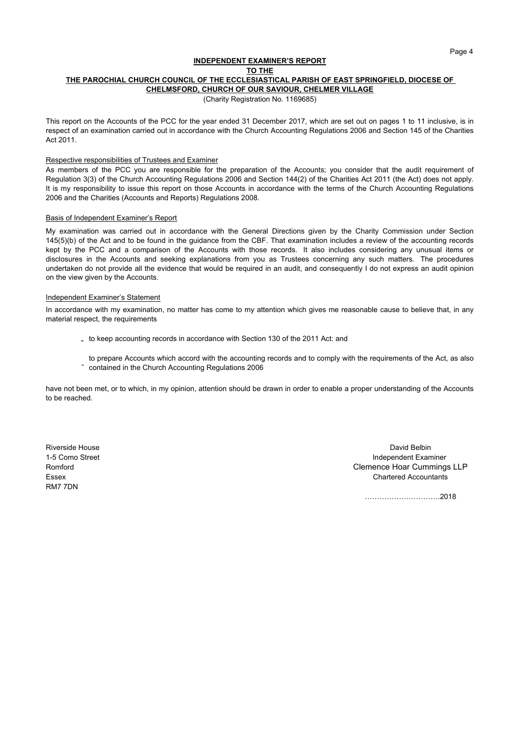### **INDEPENDENT EXAMINER'S REPORT THE PAROCHIAL CHURCH COUNCIL OF THE ECCLESIASTICAL PARISH OF EAST SPRINGFIELD, DIOCESE OF CHELMSFORD, CHURCH OF OUR SAVIOUR, CHELMER VILLAGE TO THE**

(Charity Registration No. 1169685)

This report on the Accounts of the PCC for the year ended 31 December 2017, which are set out on pages 1 to 11 inclusive, is in respect of an examination carried out in accordance with the Church Accounting Regulations 2006 and Section 145 of the Charities Act 2011.

### Respective responsibilities of Trustees and Examiner

As members of the PCC you are responsible for the preparation of the Accounts; you consider that the audit requirement of Regulation 3(3) of the Church Accounting Regulations 2006 and Section 144(2) of the Charities Act 2011 (the Act) does not apply. It is my responsibility to issue this report on those Accounts in accordance with the terms of the Church Accounting Regulations 2006 and the Charities (Accounts and Reports) Regulations 2008.

### Basis of Independent Examiner's Report

My examination was carried out in accordance with the General Directions given by the Charity Commission under Section 145(5)(b) of the Act and to be found in the guidance from the CBF. That examination includes a review of the accounting records kept by the PCC and a comparison of the Accounts with those records. It also includes considering any unusual items or disclosures in the Accounts and seeking explanations from you as Trustees concerning any such matters. The procedures undertaken do not provide all the evidence that would be required in an audit, and consequently I do not express an audit opinion on the view given by the Accounts.

### Independent Examiner's Statement

In accordance with my examination, no matter has come to my attention which gives me reasonable cause to believe that, in any material respect, the requirements

- to keep accounting records in accordance with Section 130 of the 2011 Act: and
- -<br>contained in the Church Accounting Regulations 2006 to prepare Accounts which accord with the accounting records and to comply with the requirements of the Act, as also

have not been met, or to which, in my opinion, attention should be drawn in order to enable a proper understanding of the Accounts to be reached.

RM7 7DN

Riverside House David Belbin 1-5 Como Street Independent Examiner Romford Clemence Hoar Cummings LLP Essex **Chartered Accountants Example 20** and 20 and 20 and 20 and 20 and 20 and 20 and 20 and 20 and 20 and 20 and 20 and 20 and 20 and 20 and 20 and 20 and 20 and 20 and 20 and 20 and 20 and 20 and 20 and 20 and 20 and

………………………….2018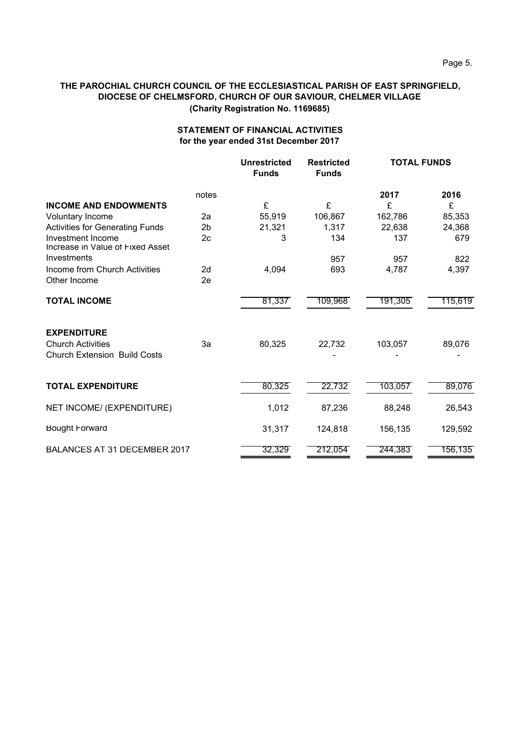# **STATEMENT OF FINANCIAL ACTIVITIES for the year ended 31st December 2017**

|                                                                 |                | <b>Unrestricted</b><br><b>Funds</b> | <b>Restricted</b><br><b>Funds</b> | <b>TOTAL FUNDS</b> |         |
|-----------------------------------------------------------------|----------------|-------------------------------------|-----------------------------------|--------------------|---------|
|                                                                 | notes          |                                     |                                   | 2017               | 2016    |
| <b>INCOME AND ENDOWMENTS</b>                                    |                | £                                   | £                                 | £                  | £       |
| Voluntary Income                                                | 2a             | 55,919                              | 106,867                           | 162,786            | 85,353  |
| <b>Activities for Generating Funds</b>                          | 2 <sub>b</sub> | 21,321                              | 1,317                             | 22,638             | 24,368  |
| Investment Income<br>Increase in Value of Fixed Asset           | 2 <sub>c</sub> | 3                                   | 134                               | 137                | 679     |
| Investments                                                     |                |                                     | 957                               | 957                | 822     |
| Income from Church Activities<br>Other Income                   | 2d<br>2e       | 4,094                               | 693                               | 4,787              | 4,397   |
| <b>TOTAL INCOME</b>                                             |                | 81,337                              | 109,968                           | 191,305            | 115,619 |
| <b>EXPENDITURE</b>                                              |                |                                     |                                   |                    |         |
| <b>Church Activities</b><br><b>Church Extension Build Costs</b> | За             | 80,325                              | 22,732                            | 103,057            | 89,076  |
| <b>TOTAL EXPENDITURE</b>                                        |                | 80,325                              | 22,732                            | 103,057            | 89,076  |
| NET INCOME/ (EXPENDITURE)                                       |                | 1,012                               | 87,236                            | 88,248             | 26,543  |
| <b>Bought Forward</b>                                           |                | 31,317                              | 124,818                           | 156,135            | 129,592 |
| <b>BALANCES AT 31 DECEMBER 2017</b>                             |                | 32,329                              | 212,054                           | 244,383            | 156,135 |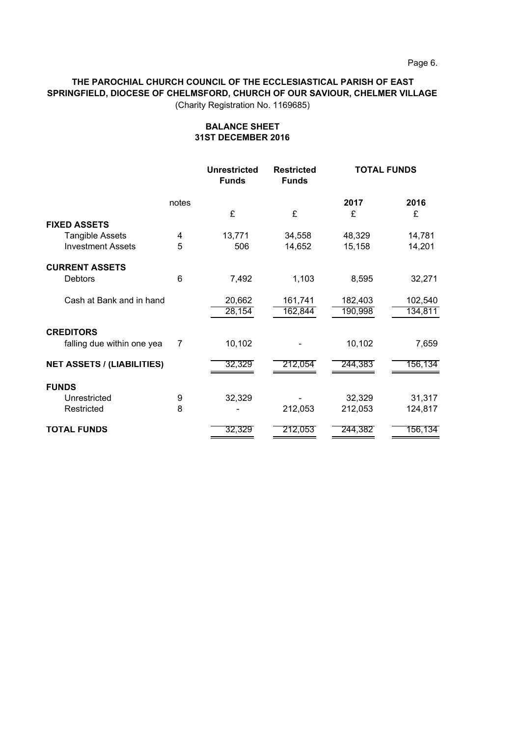# **THE PAROCHIAL CHURCH COUNCIL OF THE ECCLESIASTICAL PARISH OF EAST SPRINGFIELD, DIOCESE OF CHELMSFORD, CHURCH OF OUR SAVIOUR, CHELMER VILLAGE**

(Charity Registration No. 1169685)

|                                   |       | <b>Unrestricted</b><br><b>Funds</b> | <b>Restricted</b><br><b>Funds</b> | <b>TOTAL FUNDS</b> |         |
|-----------------------------------|-------|-------------------------------------|-----------------------------------|--------------------|---------|
|                                   | notes |                                     |                                   | 2017               | 2016    |
|                                   |       | £                                   | £                                 | £                  | £       |
| <b>FIXED ASSETS</b>               |       |                                     |                                   |                    |         |
| <b>Tangible Assets</b>            | 4     | 13,771                              | 34,558                            | 48,329             | 14,781  |
| <b>Investment Assets</b>          | 5     | 506                                 | 14,652                            | 15,158             | 14,201  |
| <b>CURRENT ASSETS</b>             |       |                                     |                                   |                    |         |
| <b>Debtors</b>                    | 6     | 7,492                               | 1,103                             | 8,595              | 32,271  |
| Cash at Bank and in hand          |       | 20,662                              | 161,741                           | 182,403            | 102,540 |
|                                   |       | 28,154                              | 162,844                           | 190,998            | 134,811 |
| <b>CREDITORS</b>                  |       |                                     |                                   |                    |         |
| falling due within one yea        | 7     | 10,102                              |                                   | 10,102             | 7,659   |
| <b>NET ASSETS / (LIABILITIES)</b> |       | 32,329                              | 212,054                           | 244,383            | 156,134 |
|                                   |       |                                     |                                   |                    |         |
| <b>FUNDS</b>                      |       |                                     |                                   |                    |         |
| Unrestricted                      | 9     | 32,329                              |                                   | 32,329             | 31,317  |
| Restricted                        | 8     |                                     | 212,053                           | 212,053            | 124,817 |
| <b>TOTAL FUNDS</b>                |       | 32,329                              | 212,053                           | 244,382            | 156,134 |

# **BALANCE SHEET 31ST DECEMBER 2016**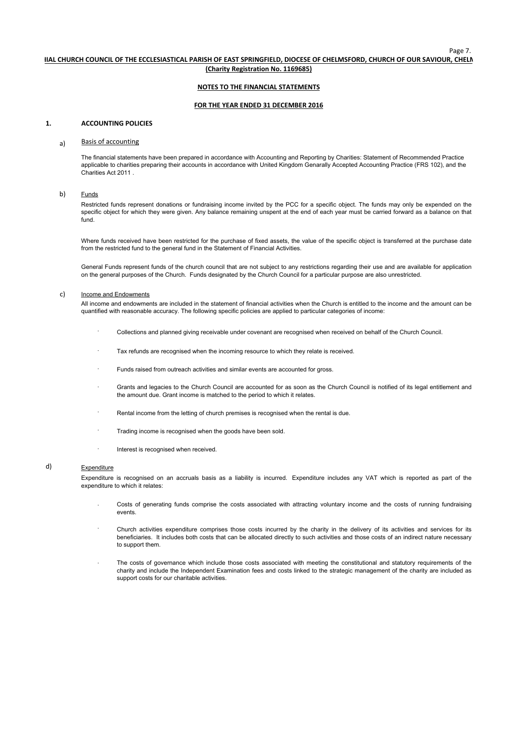### **(Charity Registration No. 1169685) HIAL CHURCH COUNCIL OF THE ECCLESIASTICAL PARISH OF EAST SPRINGFIELD, DIOCESE OF CHELMSFORD, CHURCH OF OUR SAVIOUR, CHELM**

### **NOTES TO THE FINANCIAL STATEMENTS**

### **FOR THE YEAR ENDED 31 DECEMBER 2016**

### **1. ACCOUNTING POLICIES**

### a) Basis of accounting

The financial statements have been prepared in accordance with Accounting and Reporting by Charities: Statement of Recommended Practice applicable to charities preparing their accounts in accordance with United Kingdom Genarally Accepted Accounting Practice (FRS 102), and the Charities Act 2011 .

### b) Funds

Restricted funds represent donations or fundraising income invited by the PCC for a specific object. The funds may only be expended on the specific object for which they were given. Any balance remaining unspent at the end of each year must be carried forward as a balance on that fund.

Where funds received have been restricted for the purchase of fixed assets, the value of the specific object is transferred at the purchase date from the restricted fund to the general fund in the Statement of Financial Activities.

General Funds represent funds of the church council that are not subject to any restrictions regarding their use and are available for application on the general purposes of the Church. Funds designated by the Church Council for a particular purpose are also unrestricted.

### c) Income and Endowments

All income and endowments are included in the statement of financial activities when the Church is entitled to the income and the amount can be quantified with reasonable accuracy. The following specific policies are applied to particular categories of income:

- <sup>.</sup> Collections and planned giving receivable under covenant are recognised when received on behalf of the Church Council.
- ꞏ Tax refunds are recognised when the incoming resource to which they relate is received.
- Funds raised from outreach activities and similar events are accounted for gross.
- <sup>.</sup> Grants and legacies to the Church Council are accounted for as soon as the Church Council is notified of its legal entitlement and the amount due. Grant income is matched to the period to which it relates.
- Rental income from the letting of church premises is recognised when the rental is due.
- ꞏ Trading income is recognised when the goods have been sold.
- ꞏ Interest is recognised when received.

# d) Expenditure

Expenditure is recognised on an accruals basis as a liability is incurred. Expenditure includes any VAT which is reported as part of the expenditure to which it relates:

- <sup>.</sup> Costs of generating funds comprise the costs associated with attracting voluntary income and the costs of running fundraising events.
- <sup>.</sup> Church activities expenditure comprises those costs incurred by the charity in the delivery of its activities and services for its beneficiaries. It includes both costs that can be allocated directly to such activities and those costs of an indirect nature necessary to support them.
- ꞏ The costs of governance which include those costs associated with meeting the constitutional and statutory requirements of the charity and include the Independent Examination fees and costs linked to the strategic management of the charity are included as support costs for our charitable activities.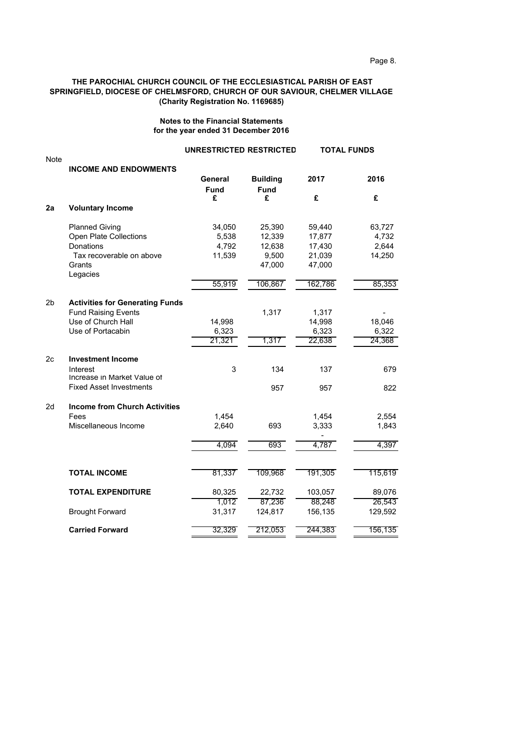# **Notes to the Financial Statements for the year ended 31 December 2016**

|                |                                                                                                                       | <b>UNRESTRICTED RESTRICTED</b>     |                                               |                                                | <b>TOTAL FUNDS</b>                 |
|----------------|-----------------------------------------------------------------------------------------------------------------------|------------------------------------|-----------------------------------------------|------------------------------------------------|------------------------------------|
| <b>Note</b>    | <b>INCOME AND ENDOWMENTS</b>                                                                                          | General<br><b>Fund</b>             | <b>Building</b><br><b>Fund</b>                | 2017                                           | 2016                               |
|                |                                                                                                                       | £                                  | £                                             | £                                              | £                                  |
| 2a             | <b>Voluntary Income</b>                                                                                               |                                    |                                               |                                                |                                    |
|                | <b>Planned Giving</b><br><b>Open Plate Collections</b><br>Donations<br>Tax recoverable on above<br>Grants<br>Legacies | 34,050<br>5,538<br>4,792<br>11,539 | 25,390<br>12,339<br>12,638<br>9,500<br>47,000 | 59,440<br>17,877<br>17,430<br>21,039<br>47,000 | 63,727<br>4,732<br>2,644<br>14,250 |
|                |                                                                                                                       | 55,919                             | 106,867                                       | 162,786                                        | 85,353                             |
| 2b             | <b>Activities for Generating Funds</b><br><b>Fund Raising Events</b><br>Use of Church Hall<br>Use of Portacabin       | 14,998<br>6,323<br>21,321          | 1,317<br>1,317                                | 1,317<br>14,998<br>6,323<br>22,638             | 18,046<br>6,322<br>24,368          |
| 2 <sub>c</sub> | <b>Investment Income</b><br>Interest<br>Increase in Market Value of<br><b>Fixed Asset Investments</b>                 | 3                                  | 134<br>957                                    | 137<br>957                                     | 679<br>822                         |
| 2d             | <b>Income from Church Activities</b><br>Fees<br>Miscellaneous Income                                                  | 1,454<br>2,640<br>4,094            | 693<br>693                                    | 1,454<br>3,333<br>4,787                        | 2,554<br>1,843<br>4,397            |
|                | <b>TOTAL INCOME</b>                                                                                                   | 81,337                             | 109,968                                       | 191,305                                        | 115,619                            |
|                | <b>TOTAL EXPENDITURE</b>                                                                                              | 80,325<br>1,012                    | 22,732<br>87,236                              | 103,057<br>88,248                              | 89,076<br>26,543                   |
|                | <b>Brought Forward</b>                                                                                                | 31,317                             | 124,817                                       | 156,135                                        | 129,592                            |
|                | <b>Carried Forward</b>                                                                                                | 32,329                             | 212,053                                       | 244,383                                        | 156,135                            |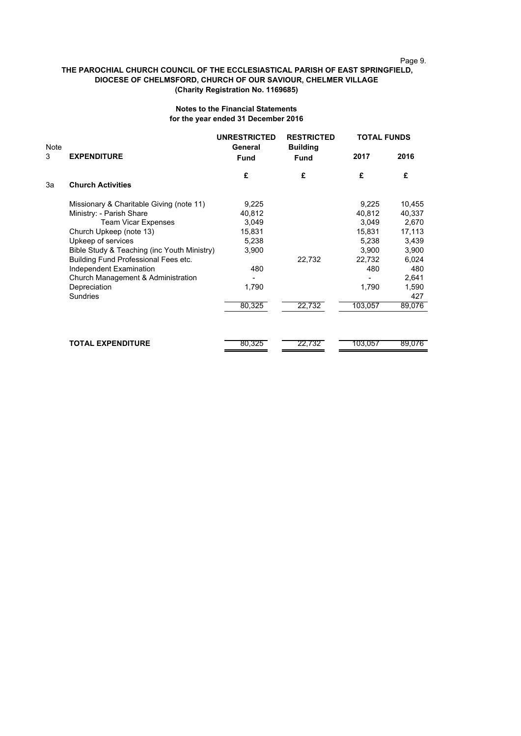# Page 9.

# **THE PAROCHIAL CHURCH COUNCIL OF THE ECCLESIASTICAL PARISH OF EAST SPRINGFIELD, DIOCESE OF CHELMSFORD, CHURCH OF OUR SAVIOUR, CHELMER VILLAGE (Charity Registration No. 1169685)**

# **Notes to the Financial Statements for the year ended 31 December 2016**

| Note |                                             | <b>UNRESTRICTED</b><br>General | <b>RESTRICTED</b><br><b>Building</b> | <b>TOTAL FUNDS</b> |        |
|------|---------------------------------------------|--------------------------------|--------------------------------------|--------------------|--------|
| 3    | <b>EXPENDITURE</b>                          | <b>Fund</b>                    | <b>Fund</b>                          | 2017               | 2016   |
|      |                                             | £                              | £                                    | £                  | £      |
| 3a   | <b>Church Activities</b>                    |                                |                                      |                    |        |
|      | Missionary & Charitable Giving (note 11)    | 9,225                          |                                      | 9,225              | 10,455 |
|      | Ministry: - Parish Share                    | 40,812                         |                                      | 40,812             | 40,337 |
|      | <b>Team Vicar Expenses</b>                  | 3,049                          |                                      | 3,049              | 2,670  |
|      | Church Upkeep (note 13)                     | 15,831                         |                                      | 15,831             | 17,113 |
|      | Upkeep of services                          | 5,238                          |                                      | 5,238              | 3,439  |
|      | Bible Study & Teaching (inc Youth Ministry) | 3,900                          |                                      | 3,900              | 3,900  |
|      | Building Fund Professional Fees etc.        |                                | 22,732                               | 22,732             | 6,024  |
|      | Independent Examination                     | 480                            |                                      | 480                | 480    |
|      | Church Management & Administration          |                                |                                      |                    | 2,641  |
|      | Depreciation                                | 1,790                          |                                      | 1,790              | 1,590  |
|      | <b>Sundries</b>                             |                                |                                      |                    | 427    |
|      |                                             | 80,325                         | 22,732                               | 103,057            | 89,076 |
|      |                                             |                                |                                      |                    |        |
|      |                                             |                                |                                      |                    |        |
|      | <b>TOTAL EXPENDITURE</b>                    | 80,325                         | 22,732                               | 103,057            | 89,076 |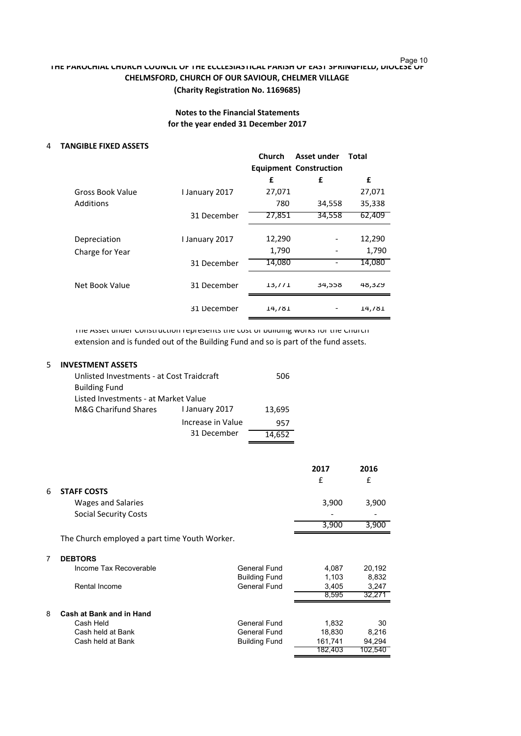# Page 10 **THE PAROCHIAL CHURCH COUNCIL OF THE ECCLESIASTICAL PARISH OF EAST SPRINGFIELD, DIOCESE OF CHELMSFORD, CHURCH OF OUR SAVIOUR, CHELMER VILLAGE**

# **(Charity Registration No. 1169685)**

# **Notes to the Financial Statements for the year ended 31 December 2017**

# 4 **TANGIBLE FIXED ASSETS**

|                         |                | Church | Asset under<br><b>Equipment Construction</b> | Total  |
|-------------------------|----------------|--------|----------------------------------------------|--------|
|                         |                | £      | £                                            | £      |
| <b>Gross Book Value</b> | I January 2017 | 27,071 |                                              | 27,071 |
| Additions               |                | 780    | 34,558                                       | 35,338 |
|                         | 31 December    | 27,851 | 34,558                                       | 62,409 |
| Depreciation            | I January 2017 | 12,290 |                                              | 12,290 |
| Charge for Year         |                | 1,790  |                                              | 1,790  |
|                         | 31 December    | 14,080 |                                              | 14,080 |
| Net Book Value          | 31 December    | 13, 71 | 34,558                                       | 48,329 |
|                         | 31 December    | 14,781 |                                              | 14,781 |

The Asset under Construction represents the cost of building works for the Church extension and is funded out of the Building Fund and so is part of the fund assets.

# 5 **INVESTMENT ASSETS**

| Unlisted Investments - at Cost Traidcraft | 506               |        |  |
|-------------------------------------------|-------------------|--------|--|
| <b>Building Fund</b>                      |                   |        |  |
| Listed Investments - at Market Value      |                   |        |  |
| M&G Charifund Shares                      | I January 2017    |        |  |
|                                           | Increase in Value | 957    |  |
|                                           | 31 December       | 14.652 |  |

|   |                                               |                      | 2017<br>£ | 2016<br>£ |
|---|-----------------------------------------------|----------------------|-----------|-----------|
| 6 | <b>STAFF COSTS</b>                            |                      |           |           |
|   | Wages and Salaries                            |                      | 3,900     | 3,900     |
|   | <b>Social Security Costs</b>                  |                      |           |           |
|   |                                               |                      | 3,900     | 3,900     |
|   | The Church employed a part time Youth Worker. |                      |           |           |
|   | <b>DEBTORS</b>                                |                      |           |           |
|   | Income Tax Recoverable                        | General Fund         | 4,087     | 20,192    |
|   |                                               | <b>Building Fund</b> | 1,103     | 8,832     |
|   | Rental Income                                 | General Fund         | 3,405     | 3,247     |
|   |                                               |                      | 8,595     | 32,271    |
| 8 | Cash at Bank and in Hand                      |                      |           |           |
|   | Cash Held                                     | General Fund         | 1,832     | 30        |
|   | Cash held at Bank                             | General Fund         | 18,830    | 8,216     |
|   | Cash held at Bank                             | <b>Building Fund</b> | 161,741   | 94,294    |
|   |                                               |                      | 182,403   | 102,540   |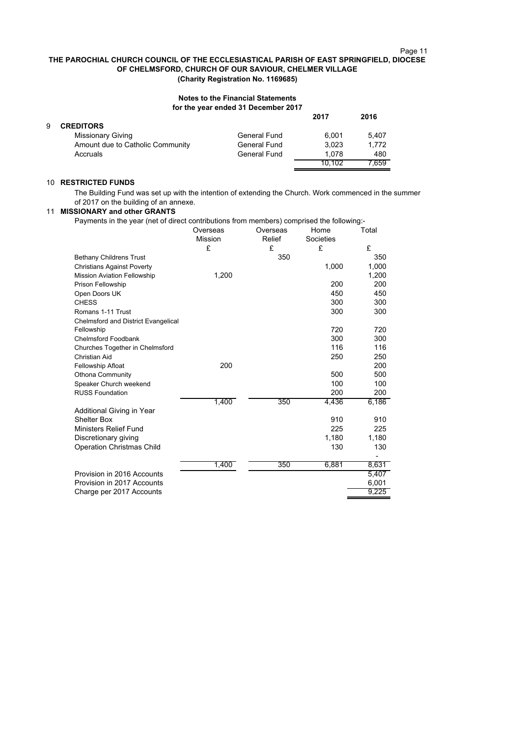# Page 11

# **THE PAROCHIAL CHURCH COUNCIL OF THE ECCLESIASTICAL PARISH OF EAST SPRINGFIELD, DIOCESE OF CHELMSFORD, CHURCH OF OUR SAVIOUR, CHELMER VILLAGE (Charity Registration No. 1169685)**

### **Notes to the Financial Statements for the year ended 31 December 2017**

|   |                                  |              | 2017   | 2016  |
|---|----------------------------------|--------------|--------|-------|
| 9 | <b>CREDITORS</b>                 |              |        |       |
|   | <b>Missionary Giving</b>         | General Fund | 6.001  | 5.407 |
|   | Amount due to Catholic Community | General Fund | 3.023  | 1,772 |
|   | Accruals                         | General Fund | 1.078  | 480   |
|   |                                  |              | 10.102 | .659  |

# 10 **RESTRICTED FUNDS**

The Building Fund was set up with the intention of extending the Church. Work commenced in the summer of 2017 on the building of an annexe.

# 11 **MISSIONARY and other GRANTS**

| Payments in the year (net of direct contributions from members) comprised the following:- |                |          |           |       |
|-------------------------------------------------------------------------------------------|----------------|----------|-----------|-------|
|                                                                                           | Overseas       | Overseas | Home      | Total |
|                                                                                           | <b>Mission</b> | Relief   | Societies |       |
|                                                                                           | £              | £        | £         | £     |
| <b>Bethany Childrens Trust</b>                                                            |                | 350      |           | 350   |
| <b>Christians Against Poverty</b>                                                         |                |          | 1,000     | 1,000 |
| <b>Mission Aviation Fellowship</b>                                                        | 1,200          |          |           | 1,200 |
| <b>Prison Fellowship</b>                                                                  |                |          | 200       | 200   |
| Open Doors UK                                                                             |                |          | 450       | 450   |
| <b>CHESS</b>                                                                              |                |          | 300       | 300   |
| Romans 1-11 Trust                                                                         |                |          | 300       | 300   |
| Chelmsford and District Evangelical                                                       |                |          |           |       |
| Fellowship                                                                                |                |          | 720       | 720   |
| Chelmsford Foodbank                                                                       |                |          | 300       | 300   |
| Churches Together in Chelmsford                                                           |                |          | 116       | 116   |
| Christian Aid                                                                             |                |          | 250       | 250   |
| Fellowship Afloat                                                                         | 200            |          |           | 200   |
| <b>Othona Community</b>                                                                   |                |          | 500       | 500   |
| Speaker Church weekend                                                                    |                |          | 100       | 100   |
| <b>RUSS Foundation</b>                                                                    |                |          | 200       | 200   |
|                                                                                           | 1,400          | 350      | 4,436     | 6,186 |
| Additional Giving in Year                                                                 |                |          |           |       |
| <b>Shelter Box</b>                                                                        |                |          | 910       | 910   |
| <b>Ministers Relief Fund</b>                                                              |                |          | 225       | 225   |
| Discretionary giving                                                                      |                |          | 1,180     | 1,180 |
| <b>Operation Christmas Child</b>                                                          |                |          | 130       | 130   |
|                                                                                           |                |          |           | ٠     |
|                                                                                           | 1,400          | 350      | 6,881     | 8,631 |
| Provision in 2016 Accounts                                                                |                |          |           | 5,407 |
| Provision in 2017 Accounts                                                                |                |          |           | 6,001 |
| Charge per 2017 Accounts                                                                  |                |          |           | 9,225 |